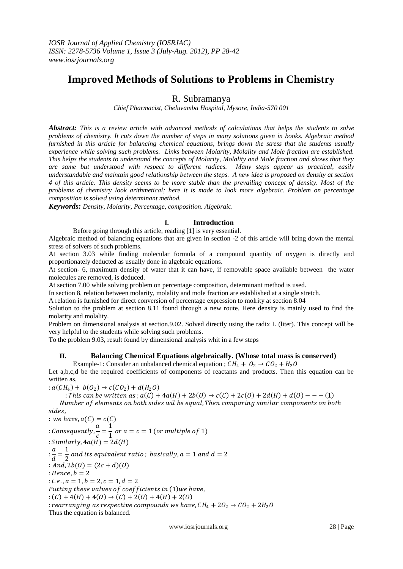# **Improved Methods of Solutions to Problems in Chemistry**

# R. Subramanya

*Chief Pharmacist, Cheluvamba Hospital, Mysore, India-570 001*

*Abstract: This is a review article with advanced methods of calculations that helps the students to solve problems of chemistry. It cuts down the number of steps in many solutions given in books. Algebraic method furnished in this article for balancing chemical equations, brings down the stress that the students usually experience while solving such problems. Links between Molarity, Molality and Mole fraction are established. This helps the students to understand the concepts of Molarity, Molality and Mole fraction and shows that they are same but understood with respect to different radices. Many steps appear as practical, easily understandable and maintain good relationship between the steps. A new idea is proposed on density at section 4 of this article. This density seems to be more stable than the prevailing concept of density. Most of the problems of chemistry look arithmetical; here it is made to look more algebraic. Problem on percentage composition is solved using determinant method.* 

*Keywords: Density, Molarity, Percentage, composition. Algebraic.*

# **I. Introduction**

Before going through this article, reading [1] is very essential.

Algebraic method of balancing equations that are given in section -2 of this article will bring down the mental stress of solvers of such problems.

At section 3.03 while finding molecular formula of a compound quantity of oxygen is directly and proportionately deducted as usually done in algebraic equations.

At section- 6, maximum density of water that it can have, if removable space available between the water molecules are removed, is deduced.

At section 7.00 while solving problem on percentage composition, determinant method is used.

In section 8, relation between molarity, molality and mole fraction are established at a single stretch.

A relation is furnished for direct conversion of percentage expression to molrity at section 8.04

Solution to the problem at section 8.11 found through a new route. Here density is mainly used to find the molarity and molality.

Problem on dimensional analysis at section.9.02. Solved directly using the radix L (liter). This concept will be very helpful to the students while solving such problems.

To the problem 9.03, result found by dimensional analysis whit in a few steps

#### **II. Balancing Chemical Equations algebraically. (Whose total mass is conserved)**

Example-1: Consider an unbalanced chemical equation ;  $CH_4 + O_2 \rightarrow CO_2 + H_2O$ Let a,b,c,d be the required coefficients of components of reactants and products. Then this equation can be written as,

:  $a(CH_4) + b(O_2) \rightarrow c(CO_2) + d(H_2O)$ 

: This can be written as ;  $a(C) + 4a(H) + 2b(0) \rightarrow c(C) + 2c(0) + 2d(H) + d(0) - - -$  (1) Number of elements on both sides wil be equal, Then comparing similar components on both sides.

: we have,  $a(C) = c(C)$ : Consequently,  $\frac{a}{a}$  $\frac{a}{c} = \frac{1}{1}$  $\frac{1}{1}$  or  $a = c = 1$  (or multiple of 1) :  $Similarly, 4a(H) = 2d(H)$  $\frac{a}{a}$  $\frac{a}{d} = \frac{1}{2}$  $\frac{1}{2}$  and its equivalent ratio ; basically,  $a = 1$  and  $d = 2$  $\mathbb{R}$  *And*,  $2b(0) = (2c + d)(0)$  $Hence, b = 2$ : *i.e.*,  $a = 1$ ,  $b = 2$ ,  $c = 1$ ,  $d = 2$ Putting these values of coefficients in (1) we have, :  $(C) + 4(H) + 4(O) \rightarrow (C) + 2(O) + 4(H) + 2(O)$ : rearranging as respective compounds we have,  $CH_4 + 2O_2 \rightarrow CO_2 + 2H_2O$ Thus the equation is balanced.

www.iosrjournals.org 28 | Page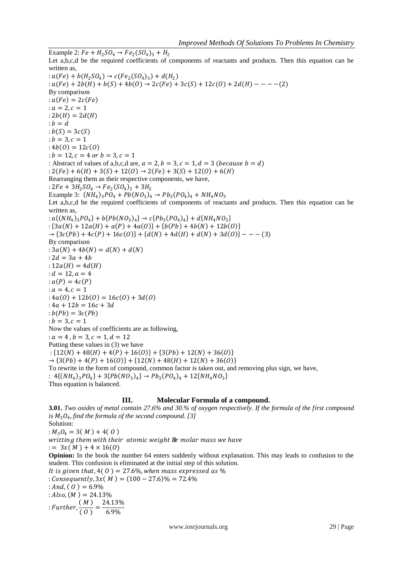Example 2:  $Fe + H_2SO_4 \rightarrow Fe_2(SO_4)_3 + H_2$ Let a,b,c,d be the required coefficients of components of reactants and products. Then this equation can be written as, :  $a(Fe) + b(H_2SO_4) \rightarrow c(Fe_2(SO_4)_3) + d(H_2)$  $: a(Fe) + 2b(H) + b(S) + 4b(0) \rightarrow 2c(Fe) + 3c(S) + 12c(0) + 2d(H) - - - -$ (2) By comparison  $: a(Fe) = 2c(Fe)$  $: a = 2, c = 1$  $: 2b(H) = 2d(H)$  $:b = d$  $: b(S) = 3c(S)$  $: b = 3, c = 1$  $: 4b(0) = 12c(0)$ :  $b = 12$ ,  $c = 4$  or  $b = 3$ ,  $c = 1$ : Abstract of values of a,b,c,d are,  $a = 2$ ,  $b = 3$ ,  $c = 1$ ,  $d = 3$  (*because*  $b = d$ ) :  $2(Fe) + 6(H) + 3(S) + 12(0) \rightarrow 2(Fe) + 3(S) + 12(0) + 6(H)$ Rearranging them as their respective components, we have, :  $2Fe + 3H_2SO_4 \rightarrow Fe_2(SO_4)_3 + 3H_2$ Example 3:  $(NH_4)_3PO_4 + Pb(NO_3)_4 \rightarrow Pb_3 (PO_4)_4 + NH_4NO_3$ Let a,b,c,d be the required coefficients of components of reactants and products. Then this equation can be written as, :  $a\{(NH_4)_3PO_4\} + b\{Pb(NO_3)_4\} \rightarrow c\{Pb_3(PO_4)_4\} + d\{NH_4NO_3\}$ :  ${3a(N) + 12a(H) + a(P) + 4a(O)} + {b(Pb) + 4b(N) + 12b(O)}$  $\rightarrow$   $\{3c(Pb) + 4c(P) + 16c(O)\} + \{d(N) + 4d(H) + d(N) + 3d(O)\} - -$  (3) By comparison :  $3a(N) + 4b(N) = d(N) + d(N)$ :  $2d = 3a + 4b$ :  $12a(H) = 4d(H)$  $: d = 12, a = 4$ :  $a(P) = 4c(P)$ :  $a = 4, c = 1$ :  $4a(0) + 12b(0) = 16c(0) + 3d(0)$ :  $4a + 12b = 16c + 3d$  $:b(Pb) = 3c(Pb)$  $: b = 3, c = 1$ Now the values of coefficients are as following, :  $a = 4$ ,  $b = 3$ ,  $c = 1$ ,  $d = 12$ Putting these values in (3) we have :  $\{12(N) + 48(H) + 4(P) + 16(0)\} + \{3(Pb) + 12(N) + 36(0)\}$  $\rightarrow$   $\{3(Pb) + 4(P) + 16(0)\} + \{12(N) + 48(H) + 12(N) + 36(0)\}$ To rewrite in the form of compound, common factor is taken out, and removing plus sign, we have, :  $4\{(NH_4)_3PO_4\} + 3\{Pb(NO_3)_4\} \rightarrow Pb_3(PO_4)_4 + 12\{NH_4NO_3\}$ Thus equation is balanced.

#### **III. Molecular Formula of a compound.**

**3.01.** *Two oxides of metal contain 27.6% and 30.% of oxygen respectively. If the formula of the first compound*  is  $M_3O_4$ , find the formula of the second compound. [3] Solution: :  $M_3O_4 = 3(M) + 4(0)$ writting them with their atomic weight or molar mass we have  $:= 3x(M) + 4 \times 16(0)$ **Opinion:** In the book the number 64 enters suddenly without explanation. This may leads to confusion to the student. This confusion is eliminated at the initial step of this solution. It is given that,  $4(0) = 27.6\%$ , when mass expressed as  $\%$ : Consequently,  $3x(M) = (100 - 27.6)\% = 72.4\%$ : And,  $(0) = 6.9\%$ :  $Also, (M) = 24.13\%$ : Further,  $\frac{(M)}{(Q)}$  $\frac{(M)}{(O)} = \frac{24.13\%}{6.9\%}$ 6.9%

www.iosrjournals.org 29 | Page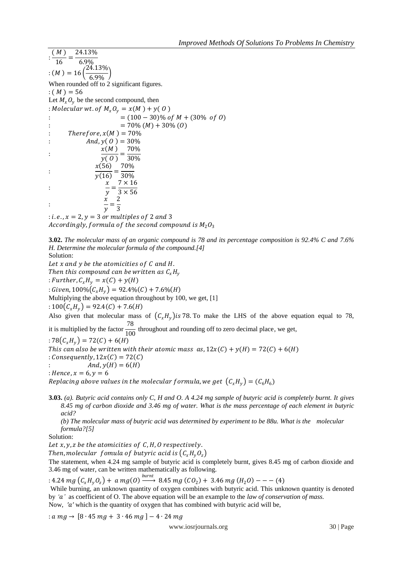:  $(M)$ 16 = 24.13% 6.9%  $: (M) = 16$  $24.13\%$ 6.9%  $\cdot$ When rounded off to 2 significant figures.  $: (M) = 56$ Let  $M_{\rm x}O_{\rm v}$  be the second compound, then : Molecular wt. of  $M_r O_v = x(M) + y(O)$ :  $= (100 - 30) \% \text{ of } M + (30 \% \text{ of } O)$ :  $= 70\% (M) + 30\% (O)$ : Therefore,  $x(M) = 70\%$ :  $And, y(O) = 30\%$ :  $\frac{x(M)}{x(0)} = \frac{70\%}{300}$  $\overline{y(0)}$ 30% :  $x(56)$  $\overline{v(16)}$ = 70% 30% :  $\boldsymbol{\chi}$  $\mathcal{Y}$  $=\frac{1}{3 \times 56}$  $7 \times 16$ :  $\boldsymbol{\chi}$  $\mathcal{Y}$ = 2  $\overline{3}$ 

: *i.e.*,  $x = 2$ ,  $y = 3$  or multiples of 2 and 3 Accordingly, formula of the second compound is  $M_2O_3$ 

**3.02.** *The molecular mass of an organic compound is 78 and its percentage composition is 92.4% C and 7.6% H. Determine the molecular formula of the compound.[4]*  Solution:

Let  $x$  and  $y$  be the atomicities of  $C$  and  $H$ . Then this compound can be written as  $C_xH_y$ : Further,  $C_x H_y = x(C) + y(H)$ : Given,  $100\%$   $(C_xH_y)$  = 92.4%  $(C)$  + 7.6%  $(H)$ Multiplying the above equation throughout by 100, we get, [1] :  $100(C_xH_y) = 92.4(C) + 7.6(H)$ Also given that molecular mass of  $(C_x H_y)$  is 78. To make the LHS of the above equation equal to 78, it is multiplied by the factor  $\frac{78}{100}$  throughout and rounding off to zero decimal place, we get, : 78 $(C_x H_y) = 72(C) + 6(H)$ This can also be written with their atomic mass  $as, 12x(C) + y(H) = 72(C) + 6(H)$ : Consequently,  $12x(C) = 72(C)$ :  $And, y(H) = 6(H)$ 

: *Hence*,  $x = 6, y = 6$ 

Replacing above values in the molecular formula, we get  $\, \big( \mathcal{C}_x H_{y} \big) = ( \mathcal{C}_6 H_6 ) \,$ 

**3.03.** *(a). Butyric acid contains only C, H and O. A 4.24 mg sample of butyric acid is completely burnt. It gives 8.45 mg of carbon dioxide and 3.46 mg of water. What is the mass percentage of each element in butyric acid?*

*(b) The molecular mass of butyric acid was determined by experiment to be 88u. What is the molecular formula?[5]*

Solution:

Let  $x, y, z$  be the atomicities of  $C, H, O$  respectively.

Then, molecular fomula of butyric acid is  $(C_xH_yO_z)$ 

The statement, when 4.24 mg sample of butyric acid is completely burnt, gives 8.45 mg of carbon dioxide and 3.46 mg of water, can be written mathematically as following.

: 4.24 mg  $\left(C_x H_y O_z\right)$  + a mg(0)  $\xrightarrow{burnt}$  8.45 mg (CO<sub>2</sub>) + 3.46 mg (H<sub>2</sub>O) – – – (4)

While burning, an unknown quantity of oxygen combines with butyric acid. This unknown quantity is denoted by *''* as coefficient of O. The above equation will be an example to the *law of conservation of mass.* Now, *′′* which is the quantity of oxygen that has combined with butyric acid will be,

:  $a mg \rightarrow [8 \cdot 45 mg + 3 \cdot 46 mg] - 4 \cdot 24 mg$ 

www.iosrjournals.org 30 | Page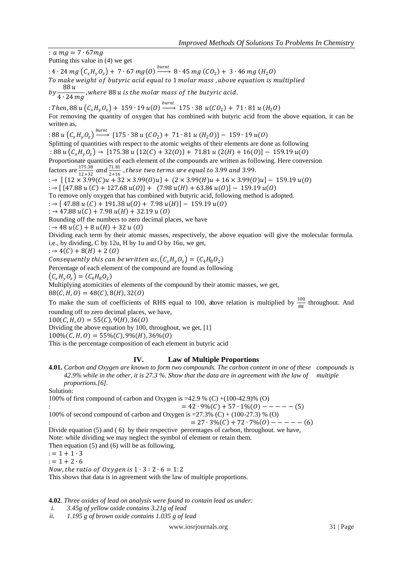:  $a mg = 7 \cdot 67mg$ 

Putting this value in (4) we get

: 4  $\cdot$  24 mg  $\left(C_x H_y O_z\right)$  +  $\,7 \cdot 67$  mg(O)  $\xrightarrow{burnt}$  8  $\cdot$  45 mg (CO<sub>2</sub>) +  $\,3 \cdot 46$  mg (H<sub>2</sub>O) To make weight of butyric acid equal to 1 molar mass, above equation is multiplied  $by \frac{88u}{1.34u}$  $\overline{4\cdot 24\ m g}$ , where 88 u is the molar mass of the butyric acid.

: Then,  $88\,u\left(\mathcal{C}_x H_y \mathcal{O}_z\right) +~ 159\cdot 19\,u(O) \stackrel{burnt}{\longrightarrow}~ 175\cdot 38\,~ u(\mathcal{CO}_2) +~ 71\cdot 81\,u~(H_2O)$ For removing the quantity of oxygen that has combined with butyric acid from the above equation, it can be written as,

: 88  $u\left(\mathcal{C}_x H_y \mathcal{O}_z\right) \stackrel{burnt}{\longleftarrow}$  $\longrightarrow$  {175 ⋅ 38 u (CO<sub>2</sub>) + 71 ⋅ 81 u (H<sub>2</sub>O)} - 159 ⋅ 19 u(O) Splitting of quantities with respect to the atomic weights of their elements are done as following : 88  $u(C_xH_yO_z)$  → [175.38  $u$  {12(C) + 32(O)} + 71.81  $u$  (2(H) + 16(O)] – 159.19  $u$ (O) Proportionate quantities of each element of the compounds are written as following. Here conversion factors are  $\frac{175.38}{12+32}$  and  $\frac{71.81}{2+16}$  $\frac{71.01}{2+16}$  , these two terms are equal to 3.99 and 3.99. : →  $[ {12 \times 3.99(C)u + 32 \times 3.99(O)u} + (2 \times 3.99(H)u + 16 \times 3.99(O)u] - 159.19 u(O)$ : →  $[$  {47.88  $u(C)$  + 127.68  $u(0)$ } + (7.98  $u(H)$  + 63.84  $u(0)$ ] - 159.19  $u(0)$ To remove only oxygen that has combined with butyric acid, following method is adopted.  $: \rightarrow [47.88 \, u \, (C) + 191.38 \, u (0) + 7.98 \, u (H)] - 159.19 \, u (0)$  $: \rightarrow 47.88 u(C) + 7.98 u(H) + 32.19 u(O)$ Rounding off the numbers to zero decimal places, we have  $: \rightarrow 48 u(C) + 8 u(H) + 32 u(O)$ 

Dividing each term by their atomic masses, respectively, the above equation will give the molecular formula. i.e., by dividing, C by 12u, H by 1u and O by 16u, we get,

$$
: \to 4(C) + 8(H) + 2(0)
$$

Consequently this can be written as,  $(C_xH_yO_z) = (C_4H_8O_2)$ 

Percentage of each element of the compound are found as following

 $(C_x H_y O_z) = (C_4 H_8 O_2)$ 

Multiplying atomicities of elements of the compound by their atomic masses, we get,

 $88(C, H, O) = 48(C), 8(H), 32(O)$ 

To make the sum of coefficients of RHS equal to 100, above relation is multiplied by  $\frac{100}{88}$  throughout. And rounding off to zero decimal places, we have,

 $100(C, H, O) = 55(C), 9(H), 36(O)$ 

Dividing the above equation by 100, throughout, we get, [1]

 $100\%(C, H, O) = 55\%(C), 9\%(H), 36\%(O)$ 

This is the percentage composition of each element in butyric acid

# **IV. Law of Multiple Proportions**

**4.01.** *Carbon and Oxygen are known to form two compounds. The carbon content in one of these compounds is 42.9% while in the other, it is 27.3 %. Show that the data are in agreement with the law of multiple proportions.[6].*

Solution:

100% of first compound of carbon and Oxygen is =42.9 % (C) +(100-42.9)% (O)

:  $= 42 \cdot 9\%(C) + 57 \cdot 1\%(O) - - - - - (5)$ 

100% of second compound of carbon and Oxygen is =27.3% (C) + 
$$
(100-27.3)
$$
 % (O)

$$
= 27 \cdot 3\%(C) + 72 \cdot 7\%(O) - - - - - (6)
$$

Divide equation (5) and ( 6) by their respective percentages of carbon, throughout. we have, Note: while dividing we may neglect the symbol of element or retain them.

Then equation (5) and (6) will be as following.

 $:= 1 + 1 \cdot 3$ 

 $:= 1 + 2 \cdot 6$ 

Now, the ratio of Oxygen is  $1 \cdot 3 : 2 \cdot 6 = 1:2$ 

This shows that data is in agreement with the law of multiple proportions.

**4.02***. Three oxides of lead on analysis were found to contain lead as under:*

*i. 3.45g of yellow oxide contains 3.21g of lead* 

*ii. 1.195 g of brown oxide contains 1.035 g of lead*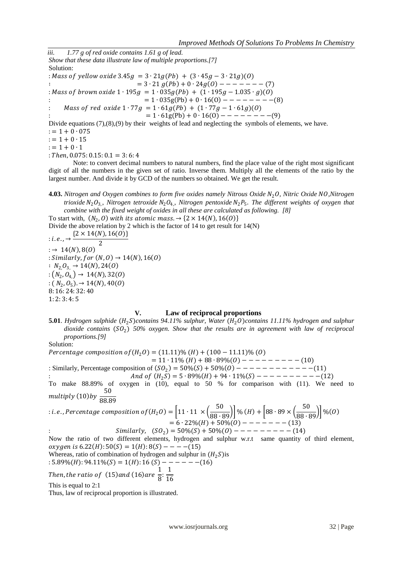*iii. 1.77 g of red oxide contains 1.61 g of lead. Show that these data illustrate law of multiple proportions.[7]* Solution: : Mass of yellow oxide  $3.45g = 3 \cdot 21g(Pb) + (3 \cdot 45g - 3 \cdot 21g)(0)$ ∶ = 3 ∙ 21 + 0 ∙ 24 − − − − −− − (7) : Mass of brown oxide  $1 \cdot 195g = 1 \cdot 035g(Pb) + (1 \cdot 195g - 1.035 \cdot g)(0)$  $= 1 \cdot 035g(Pb) + 0 \cdot 16(0) - - - - - - - - (8)$  $Mass of red \ oxide 1 \cdot 77g = 1 \cdot 61g(Pb) + (1 \cdot 77g - 1 \cdot 61g)(0)$  $= 1 \cdot 61g(Pb) + 0 \cdot 16(0) - - - - - - - - (9)$ Divide equations (7),(8),(9) by their weights of lead and neglecting the symbols of elements, we have.  $:= 1 + 0 \cdot 075$ 

 $:= 1 + 0 \cdot 15$ 

 $:= 1 + 0 \cdot 1$ 

 $: Then, 0.075: 0.15: 0.1 = 3: 6: 4$ 

Note: to convert decimal numbers to natural numbers, find the place value of the right most significant digit of all the numbers in the given set of ratio. Inverse them. Multiply all the elements of the ratio by the largest number. And divide it by GCD of the numbers so obtained. We get the result.

**4.03.** *Nitrogen and Oxygen combines to form five oxides namely Nitrous Oxide N<sub>2</sub>O, Nitric Oxide NO, Nitrogen trioxide*  $N_2O_3$ , Nitrogen tetroxide  $N_2O_4$ , Nitrogen pentoxide  $N_2P_5$ . The different weights of oxygen that *combine with the fixed weight of oxides in all these are calculated as following. [8]*

To start with,  $(N_2, 0)$  with its atomic mass.  $\rightarrow$  {2  $\times$  14(N), 16(0)

Divide the above relation by 2 which is the factor of 14 to get result for 14(N)

 $: i.e., \rightarrow \frac{\{2 \times 14(N), 16(0)\}}{2}$ 2  $: \rightarrow 14(N), 8(0)$ : Similarly, for  $(N, 0) \rightarrow 14(N), 16(0)$  $\colon N_2 O_3 \to 14(N)$ , 24(0)  $:(N_2, O_{4}) \rightarrow 14(N), 32(O)$  $: (N_2, O_5) \to 14(N), 40(O)$ 8: 16: 24: 32: 40 1: 2: 3: 4: 5

#### **V. Law of reciprocal proportions**

**5.01**. *Hydrogen sulphide*  $(H_2S)$ *contains 94.11% sulphur, Water*  $(H_2O)$ *contains 11.11% hydrogen and sulphur dioxide contains* <sup>2</sup> *50% oxygen. Show that the results are in agreement with law of reciprocal proportions.[9]* 

Solution:

*Percentage composition of*  $(H_2 O) = (11.11)\% (H) + (100 - 11.11)\% (O)$  $= 11 \cdot 11\% \left( H \right) + 88 \cdot 89\% \left( 0 \right) - - - - - - - - - - - (10)$ : Similarly, Percentage composition of  $(SO_2) = 50\%(S) + 50\%(O) - - - - - - - - - - - - - (11)$ And of  $(H_2S) = 5 \cdot 89\%(H) + 94 \cdot 11\%(S) - - - - - - - - - - - (12)$ To make 88.89% of oxygen in (10), equal to 50 % for comparison with (11). We need to

multiply (10)by  $\frac{50}{20.9}$ 88.89

$$
: i.e., Percentage composition of (H20) = \left[11 \cdot 11 \times \left(\frac{50}{88 \cdot 89}\right)\right] \% (H) + \left[88 \cdot 89 \times \left(\frac{50}{88 \cdot 89}\right)\right] \% (0)
$$
  
= 6 · 22%(H) + 50%(O) - - - - - - - (13)  

$$
Similarly, (SO2) = 50%(S) + 50%(O) - - - - - - - - - - (14)
$$

Now the ratio of two different elements, hydrogen and sulphur w.r.t same quantity of third element,  $oxygen$  is  $6.22(H): 50(S) = 1(H): 8(S) --- (15)$ 

Whereas, ratio of combination of hydrogen and sulphur in  $(H_2 S)$  is

$$
: 5.89\%(H): 94.11\%(S) = 1(H): 16(S) --- --- - (16)
$$
  
Then, the ratio of (15) and (16) are  $\frac{1}{8}$ :  $\frac{1}{16}$ 

16

This is equal to 2:1

Thus, law of reciprocal proportion is illustrated.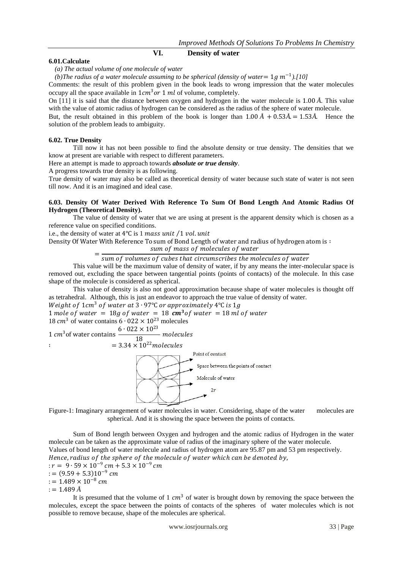#### **VI. Density of water**

#### **6.01.Calculate**

*(a) The actual volume of one molecule of water* 

*(b)The radius of a water molecule assuming to be spherical (density of water* =  $1g$   $m^{-1}$ ).[10]

Comments: the result of this problem given in the book leads to wrong impression that the water molecules occupy all the space available in  $1cm<sup>3</sup> or 1 ml$  of volume, completely.

On [11] it is said that the distance between oxygen and hydrogen in the water molecule is 1.00 *Å*. This value with the value of atomic radius of hydrogen can be considered as the radius of the sphere of water molecule.

But, the result obtained in this problem of the book is longer than  $1.00 \AA + 0.53 \AA = 1.53 \AA$ . Hence the solution of the problem leads to ambiguity.

#### **6.02. True Density**

Till now it has not been possible to find the absolute density or true density. The densities that we know at present are variable with respect to different parameters.

Here an attempt is made to approach towards *absolute or true density*.

A progress towards true density is as following.

True density of water may also be called as theoretical density of water because such state of water is not seen till now. And it is an imagined and ideal case.

# **6.03. Density Of Water Derived With Reference To Sum Of Bond Length And Atomic Radius Of Hydrogen (Theoretical Density).**

The value of density of water that we are using at present is the apparent density which is chosen as a reference value on specified conditions.

i.e., the density of water at  $4^{\circ}C$  is 1 mass unit /1 vol. unit

Density Of Water With Reference To sum of Bond Length of water and radius of hydrogen atom is ∶

sum of mass of molecules of water

= sum of volumes of cubes that circumscribes the molecules of water

This value will be the maximum value of density of water, if by any means the inter-molecular space is removed out, excluding the space between tangential points (points of contacts) of the molecule. In this case shape of the molecule is considered as spherical.

This value of density is also not good approximation because shape of water molecules is thought off as tetrahedral. Although, this is just an endeavor to approach the true value of density of water.

Weight of  $1cm^3$  of water at  $3 \cdot 97$ °C or approximately  $4$ °C is  $1g$ 

1 mole of water = 18g of water = 18  $cm^3$  of water = 18 ml of water 18  $cm<sup>3</sup>$  of water contains 6  $\cdot$  022 × 10<sup>23</sup> molecules

1  $cm^3$  of water contains  $\frac{6 \cdot 022 \times 10^{23}}{10}$ 18 molecules



Figure-1: Imaginary arrangement of water molecules in water. Considering, shape of the water molecules are spherical. And it is showing the space between the points of contacts.

Sum of Bond length between Oxygen and hydrogen and the atomic radius of Hydrogen in the water molecule can be taken as the approximate value of radius of the imaginary sphere of the water molecule. Values of bond length of water molecule and radius of hydrogen atom are 95.87 pm and 53 pm respectively. Hence, radius of the sphere of the molecule of water which can be denoted by,  $: r = 9 \cdot 59 \times 10^{-9}$  cm + 5.3  $\times 10^{-9}$  cm  $:= (9.59 + 5.3)10^{-9}$  cm  $:= 1.489 \times 10^{-8}$  cm  $:= 1.489 \AA$ 

It is presumed that the volume of 1  $cm<sup>3</sup>$  of water is brought down by removing the space between the molecules, except the space between the points of contacts of the spheres of water molecules which is not possible to remove because, shape of the molecules are spherical.

www.iosrjournals.org 33 | Page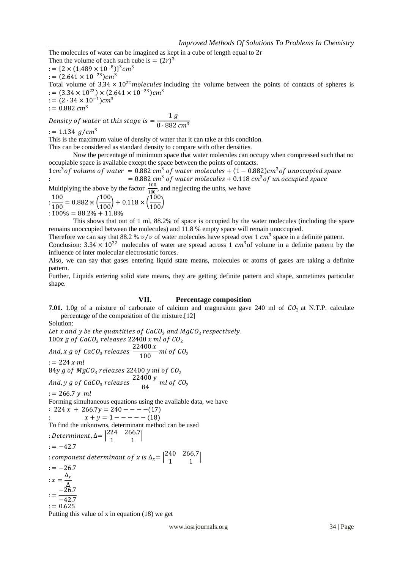The molecules of water can be imagined as kept in a cube of length equal to 2r Then the volume of each such cube is  $= (2r)^3$ : = { $2 \times (1.489 \times 10^{-8})$ }<sup>3</sup> cm<sup>3</sup> : =  $(2.641 \times 10^{-23})$ cm<sup>3</sup> Total volume of  $3.34 \times 10^{22}$  molecules including the volume between the points of contacts of spheres is  $:=(3.34\times10^{22})\times(2.641\times10^{-23})cm^{3}$  $:= (2 \cdot 34 \times 10^{-1}) cm^3$  $:= 0.882 \, \text{cm}^3$ 

Density of water at this stage is  $=\frac{1 g}{0.002}$ 0 ∙ 882 ст<sup>3</sup>

 $:= 1.134$  g/cm<sup>3</sup>

This is the maximum value of density of water that it can take at this condition.

This can be considered as standard density to compare with other densities.

Now the percentage of minimum space that water molecules can occupy when compressed such that no occupiable space is available except the space between the points of contacts.

 $1cm<sup>3</sup>$  of volume of water = 0.882 cm<sup>3</sup> of water molecules +  $(1 - 0.882)$ cm<sup>3</sup> of unoccupied space :  $= 0.882\ cm^3$  of water molecules +  $0.118\ cm^3$  of un occupied space

Multiplying the above by the factor  $\frac{100}{100}$ , and neglecting the units, we have

$$
\frac{100}{100} = 0.882 \times \left(\frac{100}{100}\right) + 0.118 \times \left(\frac{100}{100}\right)
$$
  
= 100% = 88.2% + 11.8%

This shows that out of 1 ml, 88.2% of space is occupied by the water molecules (including the space remains unoccupied between the molecules) and 11.8 % empty space will remain unoccupied.

Therefore we can say that 88.2 %  $v/v$  of water molecules have spread over 1  $cm<sup>3</sup>$  space in a definite pattern.

Conclusion:  $3.34 \times 10^{22}$  molecules of water are spread across 1  $cm^3$  of volume in a definite pattern by the influence of inter molecular electrostatic forces.

Also, we can say that gases entering liquid state means, molecules or atoms of gases are taking a definite pattern.

Further, Liquids entering solid state means, they are getting definite pattern and shape, sometimes particular shape.

# **VII. Percentage composition**

**7.01.** 1.0g of a mixture of carbonate of calcium and magnesium gave 240 ml of  $CO<sub>2</sub>$  at N.T.P. calculate percentage of the composition of the mixture.[12]

Solution:

Let x and y be the quantities of  $CaCO<sub>3</sub>$  and  $MgCO<sub>3</sub>$  respectively. 100x g of  $CaCO<sub>3</sub>$  releases 22400 x ml of  $CO<sub>2</sub>$ And, x g of CaCO<sub>3</sub> releases  $\frac{22400 x}{100}$  $\frac{100}{100}$  ml of CO<sub>2</sub>  $:= 224 x ml$ 84y g of  $MgCO<sub>3</sub>$  releases 22400 y ml of  $CO<sub>2</sub>$ And, y g of CaCO<sub>3</sub> releases  $\frac{22400 \text{ y}}{24}$  $\frac{3}{84}$  ml of CO<sub>2</sub>  $:= 266.7 y ml$ Forming simultaneous equations using the available data, we have  $: 224 x + 266.7 y = 240 - - - - (17)$  $x + y = 1 - - - - (18)$ To find the unknowns, determinant method can be used : Determinent,  $\Delta = \begin{vmatrix} 224 & 266.7 \\ 1 & 1 \end{vmatrix}$  $\begin{bmatrix} 2+200.7 \\ 1 & 1 \end{bmatrix}$  $:=-42.7$ : component determinant of x is  $\Delta_x = \begin{vmatrix} 240 & 266.7 \\ 1 & 1 \end{vmatrix}$  $\begin{bmatrix} 1 & 200.7 \\ 1 & 1 \end{bmatrix}$  $:=-26.7$  $:x=\frac{\Delta_x}{\Delta}$ ∆  $:=\frac{-26.7}{13.7}$ −42.7  $:= 0.625$ Putting this value of x in equation (18) we get

www.iosrjournals.org 34 | Page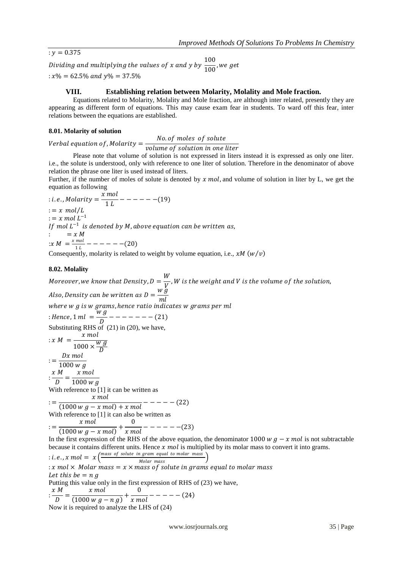$$
: y = 0.375
$$

Dividing and multiplying the values of x and y by  $\frac{100}{100}$  $\frac{1}{100}$ , we get  $: x\% = 62.5\%$  and  $v\% = 37.5\%$ 

# **VIII. Establishing relation between Molarity, Molality and Mole fraction.**

Equations related to Molarity, Molality and Mole fraction, are although inter related, presently they are appearing as different form of equations. This may cause exam fear in students. To ward off this fear, inter relations between the equations are established.

# **8.01. Molarity of solution**

Verbal equation of , Molarity  $=\frac{No. of \ moles\ of \ solute}{\frac{N}{2} \ O.5}$ volume of solution in one liter

Please note that volume of solution is not expressed in liters instead it is expressed as only one liter. i.e., the solute is understood, only with reference to one liter of solution. Therefore in the denominator of above relation the phrase one liter is used instead of liters.

Further, if the number of moles of solute is denoted by  $x \text{ mol}$ , and volume of solution in liter by L, we get the equation as following

$$
\begin{aligned}\n\therefore i.e., Molarity &= \frac{x \, mol}{1 \, L} - - - - - - (19) \\
\therefore &= x \, mol/L \\
\therefore &= x \, mol \, L^{-1} \\
\text{If } mol \, L^{-1} \text{ is denoted by } M, \text{ above equation can be written as,} \\
\therefore &= x \, M \\
\therefore M &= \frac{x \, mol}{1 \, L} - - - - - - - (20) \\
\therefore &= \frac{x \, mol}{1 \, L} - \frac{x \, mol}{1 \, L} - \frac{x \, mol}{1 \, L} + \frac{x \, mol}{1 \, L} + \frac{x \, mol}{1 \, L} + \frac{x \, mol}{1 \, L} + \frac{x \, mol}{1 \, L} + \frac{x \, mol}{1 \, L} + \frac{x \, mol}{1 \, L} + \frac{x \, mol}{1 \, L} + \frac{x \, mol}{1 \, L} + \frac{x \, mol}{1 \, L} + \frac{x \, mol}{1 \, L} + \frac{x \, mol}{1 \, L} + \frac{x \, mol}{1 \, L} + \frac{x \, mol}{1 \, L} + \frac{x \, mol}{1 \, L} + \frac{x \, mol}{1 \, L} + \frac{x \, mol}{1 \, L} + \frac{x \, mol}{1 \, L} + \frac{x \, mol}{1 \, L} + \frac{x \, mol}{1 \, L} + \frac{x \, mol}{1 \, L} + \frac{x \, mol}{1 \, L} + \frac{x \, mol}{1 \, L} + \frac{x \, mol}{1 \, L} + \frac{x \, mol}{1 \, L} + \frac{x \, mol}{1 \, L} + \frac{x \, mol}{1 \, L} + \frac{x \, mol}{1 \, L} + \frac{x \, mol}{1 \, L} + \frac{x \, mol}{1 \, L} + \frac{x \, mol}{1 \, L} + \frac{x \, mol}{1 \, L} + \frac{x \, mol}{1 \, L} + \frac{x \, mol}{1 \, L} + \frac{x \, mol}{1 \, L} + \frac{x \, mol}{1 \, L} + \frac{x \, mol}{1 \, L} + \frac{x \, mol}{1 \, L} + \frac{x \, mol}{1 \, L} + \frac{x \, mol}{1 \, L} + \frac{x \, mol}{1 \, L} + \frac{x \, mol}{1 \, L} + \frac{x \, mol}{1 \, L} + \frac{x \, mol}{1 \, L} + \frac{x \,
$$

Consequently, molarity is related to weight by volume equation, i.e.,  $xM(w/v)$ 

# **8.02. Molality**

Moreover, we know that Density, D =  $\frac{W}{V}$  $\frac{\cdot \cdot}{\cdot}$  ,W is the weight and V is the volume of the solution, Also, Density can be written as D =  $\frac{w \dot{g}}{w}$ ml where  $w$   $g$  is  $w$   $grams$ , hence  $ratio$  indicates  $w$   $grams$   $per$   $ml$ : Hence, 1 ml =  $\frac{w g}{R}$  $\frac{b}{D}$  – – – – – – – (21) Substituting RHS of (21) in (20), we have,  $:x M = \frac{x mol}{v}$  $1000 \times \frac{Wg}{D}$  $\overline{D}$  $:=\frac{Dx \text{ mol}}{1000 \text{ m}}$  $1000 w g$  $:\frac{x M}{D}$  $\frac{M}{D} = \frac{x \, mol}{1000 \, w}$  $1000 w g$ With reference to [1] it can be written as  $\frac{1}{(1000 \text{ w } g - x \text{ mol}) + x \text{ mol}} - - - - - (22)$  $x \mod x$ With reference to [1] it can also be written as := x mol  $\frac{x \, mol}{(1000 \, w \, g-x \, mol)} + \frac{0}{x \, m}$  $\frac{1}{x}$  mol – – – – – – (23) In the first expression of the RHS of the above equation, the denominator 1000  $w g - x mol$  is not subtractable because it contains different units. Hence  $x \text{ mol}$  is multiplied by its molar mass to convert it into grams. : i.e.,  $x \text{ mol} = x \Big( \frac{\text{mass of solute in gram equal to molar mass}}{M \cdot \text{low mass}} \Big)$ Molar mass (Molar mass) : x mol  $\times$  Molar mass = x  $\times$  mass of solute in grams equal to molar mass Let this be  $= n g$ Putting this value only in the first expression of RHS of (23) we have,

$$
\frac{x \text{ M}}{D} = \frac{x \text{ mol}}{(1000 \text{ w } g - n g)} + \frac{0}{x \text{ mol}} - \dots - (24)
$$
  
Now it is required to analyze the LHS of (24)

www.iosrjournals.org 35 | Page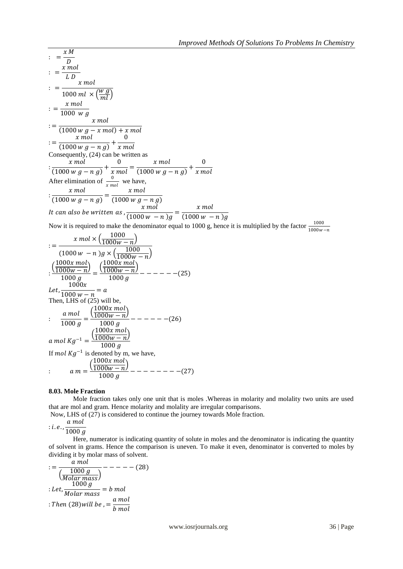$$
\frac{x \times M}{y} = \frac{x \times M}{y}
$$
\n
$$
\frac{x \times M}{y} = \frac{x \times M}{y}
$$
\n
$$
\frac{x \times M}{y} = \frac{x \times M}{y}
$$
\n
$$
\frac{x \times M}{y} = \frac{x \times M}{y} = \frac{x \times M}{y}
$$
\n
$$
\frac{x \times M}{y} = \frac{x \times M}{y} = \frac{x \times M}{y}
$$
\n
$$
\frac{x \times M}{y} = \frac{x \times M}{y} = \frac{x \times M}{y}
$$
\n
$$
\frac{x \times M}{y} = \frac{x \times M}{y} = \frac{x \times M}{y} = \frac{x \times M}{y}
$$
\n
$$
\frac{x \times M}{y} = \frac{x \times M}{y} = \frac{x \times M}{y}
$$
\nAfter elimination of  $\frac{y}{y} = \frac{y \times M}{y}$  we have,  
\n
$$
\frac{x \times M}{y} = \frac{x \times M}{y} = \frac{x \times M}{y} = \frac{x \times M}{y}
$$
\n
$$
\frac{x \times M}{y} = \frac{x \times M}{y}
$$
\n
$$
\frac{x \times M}{y} = \frac{x \times M}{y}
$$
\n
$$
\frac{x \times M}{y} = \frac{x \times M}{y}
$$
\nNow it is required to make the denominator equal to 1000 g, hence it is multiplied by the factor  $\frac{1000}{1000w - n}$ .  
\n
$$
\frac{x \times M}{y} = \frac{x \times M}{y} = \frac{x \times M}{y}
$$
\n
$$
\frac{x \times M}{y} = \frac{x \times M}{y} = \frac{x \times M}{y}
$$
\n
$$
\frac{x \times M}{y} = \frac{x \times M}{y}
$$
\n
$$
\frac{x \times M}{y} = \frac{x \times M}{y}
$$
\n
$$
\frac{x \times M}{y} = \frac{x \times M}{y}
$$
\n
$$
\frac{x \times M}{y} = \frac{x \times M}{y}
$$
\n
$$
\frac{x \times M}{y} = \frac{x \times M}{y}
$$
\n
$$
\frac{x \times M}{y} = \frac{x \times M}{y}
$$
\n
$$
\frac{x \times M}{y} = \frac{x \times M}{y}
$$
\n
$$
\frac{x \times M}{y} = \frac{x \
$$

# **8.03. Mole Fraction**

Mole fraction takes only one unit that is moles .Whereas in molarity and molality two units are used that are mol and gram. Hence molarity and molality are irregular comparisons.

Now, LHS of (27) is considered to continue the journey towards Mole fraction.

 $: i.e., \frac{a \, mol}{1000}$ 

 $1000g$ 

Here, numerator is indicating quantity of solute in moles and the denominator is indicating the quantity of solvent in grams. Hence the comparison is uneven. To make it even, denominator is converted to moles by dividing it by molar mass of solvent.

$$
:=\frac{a \text{ mol}}{\left(\frac{1000 \text{ g}}{Molar \text{ mass}}\right)} - - - - - - (28)
$$
  
:. Let,  $\frac{1000 \text{ g}}{Molar \text{ mass}} = b \text{ mol}$   
:. Then (28) will be =  $\frac{a \text{ mol}}{b \text{ mol}}$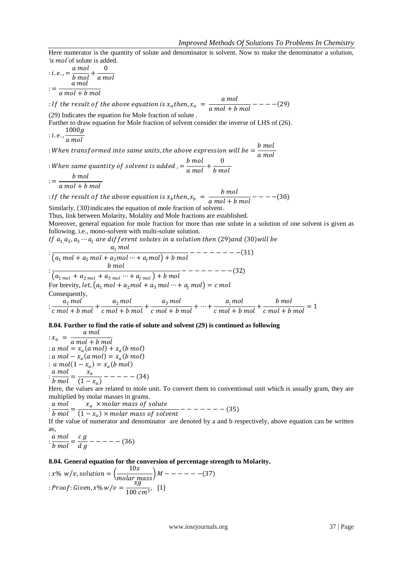Here numerator is the quantity of solute and denominator is solvent. Now to make the denominator a solution, *'a mol*<sup>'</sup> of solute is added.

$$
: i.e., = \frac{a \, mol}{b \, mol} + \frac{0}{a \, mol}
$$

$$
: = \frac{a \, mol}{a \, mol + b \, mol}
$$

: If the result of the above equation is  $x_a$  then,  $x_a = \frac{a \text{ mol}}{a \text{ mol} + b}$  $\frac{1}{a}$  mol + b mol  $-$  - - - - (29)

(29) Indicates the equation for Mole fraction of solute .

Further to draw equation for Mole fraction of solvent consider the inverse of LHS of (26).  $1000g$ 

 $: i.e., \frac{c}{a mol}$ 

: When transformed into same units, the above expression will be  $=\frac{b \mod 2}{b \mod 2}$ a mol

: When same quantity of solvent is added ,  $=$   $\frac{b \text{ mol}}{c \text{ mol}}$  $\frac{b \; mol}{a \; mol} + \frac{0}{b \; m}$ b mol

 $:=\frac{b \text{ mol}}{2 \text{ mol} + b}$ a mol + b mol

: If the result of the above equation is  $x_b$  then,  $x_b = \frac{b \text{ mol}}{a \text{ mol} + b}$  $\frac{1}{a}$  mol + b mol  $-$  - - - - (30)

Similarly, (30) indicates the equation of mole fraction of solvent.

Thus, link between Molarity, Molality and Mole fractions are established.

Moreover, general equation for mole fraction for more than one solute in a solution of one solvent is given as following. i.e., mono-solvent with multi-solute solution.

If  $a_{1,}a_{2},a_{3} \cdots a_{j}$  are different solutes in a solution then (29)and (30)will be

 $\frac{a_1 \, mol}{a_1 \, mol}$  $(a_1\, mol + a_2\, mol + a_3\, mol \cdots + a_j\, mol) + b\, mol$ −− − − − −− − 31  $: \frac{1}{(a_{1 mol} + a_{2 mol} + a_{3 mol} \cdots + a_{j mol}) + b mol}$ b mol − − − −− − − − 32 For brevity, let,  $\big(a_1\, mol + a_2\, mol + a_3\, mol \cdots + a_j\, mol\big) = c\, mol$ Consequently,  $\frac{a_1 \, mol}{\frac{1}{2} \, mol \, L \, h}$  $\frac{a_1\,mol}{c\,mol + b\,mol} + \frac{a_2\,mol}{c\,mol + b}$  $\frac{a_2\,mol}{c\,mol + b\,mol} + \frac{a_3\,mol}{c\,mol + b}$  $\frac{a_3\,mol}{c\,mol + b\,mol} + \cdots + \frac{a_i\,mol}{c\,mol + b}$  $\frac{a_{\mathrm{i}}\,mol}{c\,\,mol+b\,\,mol}+\frac{b\,\,mol}{c\,\,mol+b}$  $\frac{1}{c \text{ mol} + b \text{ mol}} = 1$ 

# **8.04. Further to find the ratio of solute and solvent (29) is continued as following**

 $:x_a = \frac{a \, mol}{a \, mol + b}$ a mol + b mol :  $a \text{ mol} = x_a (a \text{ mol}) + x_a (b \text{ mol})$ : a mol –  $x_a$ (a mol) =  $x_a$ (b mol) :  $a \, mol(1 - x_a) = x_a(b \, mol)$  $:\frac{a \, mol}{b \, mol}$  $\frac{a \; mol}{b \; mol} = \frac{x_a}{(1 - x_a)}$  $\frac{a}{(1-x_a)}$  – – – – – (34)

Here, the values are related to mole unit. To convert them to conventional unit which is usually gram, they are multiplied by molar masses in grams.

 $:\frac{a \, mol}{b \, mol}$  $\frac{a \, mol}{b \, mol} = \frac{x_a \, \times molar \; mass \; of \; solute}{(1-x_a) \times molar \; mass \; of \; solute}$ 

 $\frac{u}{(1-x_a)\times molar mass of solvent}$  – – – – – – – (35)

If the value of numerator and denominator are denoted by a and b respectively, above equation can be written as,

 $:\frac{a \, mol}{1}$  $\frac{a \ mol}{b \ mol} = \frac{c \ g}{d \ g}$  $\frac{g}{d g}$  – – – – – (36)

#### **8.04. General equation for the conversion of percentage strength to Molarity.**

$$
: x\% \ w/v, solution = \left(\frac{10x}{molar \ mass}\right)M - - - - - - (37)
$$

$$
: Proof: Given, x\% \ w/v = \frac{xg}{100 \ cm^3}, \quad [1]
$$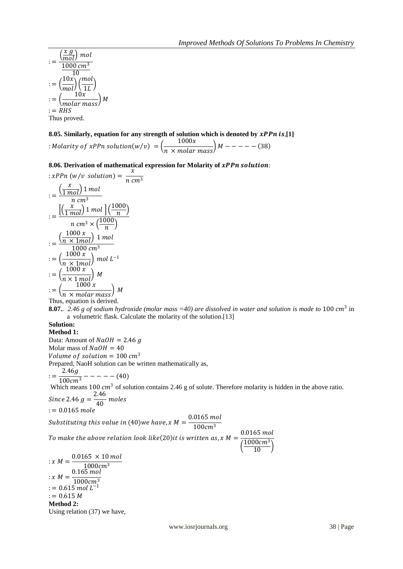$$
:=\frac{\left(\frac{x g}{mol}\right) mol}{\frac{1000 cm^3}{10}}
$$

$$
:=\left(\frac{10x}{mol}\right)\left(\frac{mol}{1L}\right)
$$

$$
:=\left(\frac{10x}{molar mass}\right) M
$$

$$
:= RHS
$$
Thus proved.

# **8.05. Similarly, equation for any strength of solution which is denoted by**  $xPPn$  **is,[1]**

: Molarity of xPPn solution(w/v) =  $\left(\frac{1000x}{x-1}\right)^{1000}$  $\frac{1}{n \times molar \; mass}$   $M --- - - - (38)$ 

**8.06. Derivation of mathematical expression for Molarity of xPPn solution:** 

$$
xPPn (w/v solution) = \frac{x}{n cm^3}
$$
  
\n
$$
= \frac{\left(\frac{x}{1 mol}\right)1 mol}{n cm^3}
$$
  
\n
$$
= \frac{\left[\left(\frac{x}{1 mol}\right)1 mol\right] \left(\frac{1000}{n}\right)}{n cm^3 \times \left(\frac{1000}{n}\right)}
$$
  
\n
$$
= \frac{\left(\frac{1000 x}{n \times 1 mol}\right) 1 mol}{1000 cm^3}
$$
  
\n
$$
= \left(\frac{1000 x}{n \times 1 mol}\right) mol L^{-1}
$$
  
\n
$$
= \left(\frac{1000 x}{n \times 1 mol}\right) M
$$
  
\n
$$
= \left(\frac{1000 x}{n \times molar mass}\right) M
$$
  
\nThus, equation is derived.

**8.07.** 2.46 g of sodium hydroxide (molar mass =40) are dissolved in water and solution is made to 100  $cm^3$  in a volumetric flask. Calculate the molarity of the solution.[13]

#### **Solution: Method 1:**

Data: Amount of  $NaOH = 2.46 g$ Molar mass of  $NaOH = 40$ Volume of solution =  $100 \text{ cm}^3$ Prepared, NaoH solution can be written mathematically as,  $:=\frac{2.46g}{100cm^3} - - - - - (40)$ Which means 100  $cm<sup>3</sup>$  of solution contains 2.46 g of solute. Therefore molarity is hidden in the above ratio. Since 2.46  $g = \frac{2.46}{40}$  $\frac{1}{40}$  moles  $:= 0.0165$  mole Substituting this value in (40)we have, x M =  $\frac{0.0165 \text{ mol}}{4.00 \times 3}$  $100cm<sup>3</sup>$ To make the above relation look like(20)it is written as, x M =  $\frac{0.0165 \text{ mol}}{44000 \text{ cm}^3}$  $\left(\frac{1000cm^3}{10}\right)$ :  $x M = \frac{0.0165 \times 10 \text{ mol}}{1000 \text{ m}^3}$  $1000$ c $m<sup>3</sup>$ :  $x M = \frac{0.165 \text{ mol}}{1000 \text{ m}^3}$ 

$$
4M = 1000cm3
$$
  
= 0.615 mol L<sup>-1</sup>  
= 0.615 M  
**Method 2:**  
Using relation (37) we have,

www.iosrjournals.org 38 | Page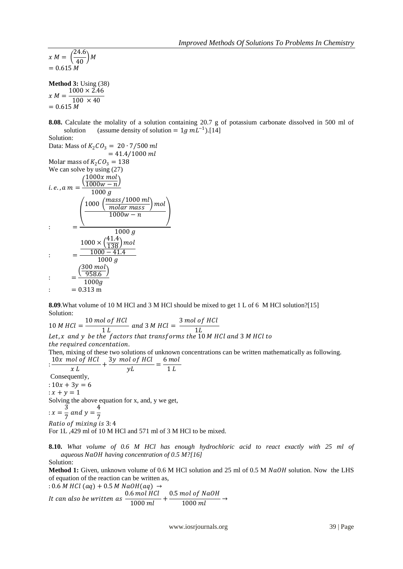$x M = \left(\frac{24.6}{40}\right) M$  $= 0.615 M$ 

**Method 3:** Using (38)  $x M = \frac{100 \times 40}{x}$  $1000 \times 2.46$  $= 0.615 M$ 

**8.08.** Calculate the molality of a solution containing 20.7 g of potassium carbonate dissolved in 500 ml of solution (assume density of solution =  $1g$  mL<sup>-1</sup>).[14]

Solution:

Data: Mass of  $K_2CO_3 = 20 \cdot 7/500$  ml  $= 41.4 / 1000$  ml Molar mass of  $K_2CO_3 = 138$ We can solve by using  $(27)$  $\left(\frac{1000x \, mol}{1000w - n}\right)$ 

i.e., 
$$
a m = \frac{\sqrt{1000w - n}}{1000 g}
$$
  
\n
$$
= \frac{\left(\frac{1000 \left(\frac{mass}{1000 m l}\right) mol}{1000 w - n}\right) mol}{1000 w - n}
$$
\n
$$
= \frac{\frac{1000 \times \left(\frac{41.4}{138}\right) mol}{1000 g}}{\frac{1000 - 41.4}{1000 g}}
$$
\n
$$
= \frac{\left(\frac{300 mol}{958.6}\right)}{1000 g}
$$
\n
$$
= 0.313 m
$$

**8.09**.What volume of 10 M HCl and 3 M HCl should be mixed to get 1 L of 6 M HCl solution?[15] Solution:

10 M HCl  $=$   $\frac{10 \text{ mol of HCl}}{11}$  $\frac{1}{1}$   $\frac{1}{L}$  and 3 M HCl =  $\frac{3 \text{ mol of HCl}}{1 L}$ 1 Let, x and y be the factors that transforms the  $10$  M HCl and 3 M HCl to the required concentation. Then, mixing of these two solutions of unknown concentrations can be written mathematically as following.  $\frac{10x \text{ mol of } HCl}{m}$  $\frac{\log \log HCl}{x \, L} + \frac{3y \, \text{mol of HCl}}{yL}$  $\frac{1}{y}$  of HCl  $\frac{1}{y} = \frac{6 \text{ mol}}{1 \text{ L}}$  $1<sub>L</sub>$ Consequently, :  $10x + 3y = 6$ 

 $: x + y = 1$ Solving the above equation for x, and, y we get,

$$
x = \frac{3}{7} \text{ and } y = \frac{4}{7}
$$

Ratio of mixing is 3:4 For 1L ,429 ml of 10 M HCl and 571 ml of 3 M HCl to be mixed.

**8.10.** *What volume of 0.6 M HCl has enough hydrochloric acid to react exactly with 25 ml of aqueous having concentration of 0.5 M?[16]*

### Solution:

**Method 1:** Given, unknown volume of 0.6 M HCl solution and 25 ml of 0.5 M NaOH solution. Now the LHS of equation of the reaction can be written as,

: 0.6 *M* HCl (aq) + 0.5 *M* NaOH(aq) → It can also be written as  $\frac{0.6 \text{ mol } HCl}{1000 \text{ L}}$  $\frac{1000 \text{ } HCl}{1000 \text{ } ml} + \frac{0.5 \text{ } mol \text{ } of \text{ } NaOH}{1000 \text{ } ml}$  $\frac{1000 \, \text{ml}}{1000 \, \text{ml}}$   $\rightarrow$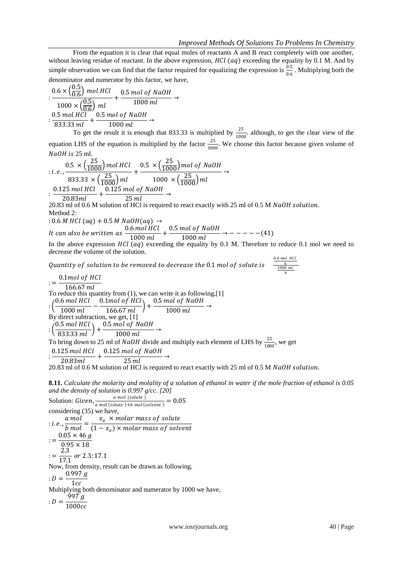From the equation it is clear that equal moles of reactants A and B react completely with one another, without leaving residue of reactant. In the above expression,  $HCl$  ( $aq$ ) exceeding the equality by 0.1 M. And by simple observation we can find that the factor required for equalizing the expression is  $\frac{0.5}{0.6}$ . Multiplying both the denominator and numerator by this factor, we have,

$$
: \frac{0.6 \times (\frac{0.5}{0.6}) \text{ mol } HCl}{1000 \times (\frac{0.5}{0.6}) \text{ ml}} + \frac{0.5 \text{ mol of NaOH}}{1000 \text{ ml}} \rightarrow
$$
  

$$
: \frac{0.5 \text{ mol } HCl}{833.33 \text{ ml}} + \frac{0.5 \text{ mol of NaOH}}{1000 \text{ ml}} \rightarrow
$$

To get the result it is enough that 833.33 is multiplied by  $\frac{25}{1000}$  although, to get the clear view of the equation LHS of the equation is multiplied by the factor  $\frac{25}{100}$  $\frac{25}{1000}$ . We choose this factor because given volume of  $NaOH$  is 25 ml.

$$
: i.e., \frac{0.5 \times (\frac{25}{1000}) mol HCl}{833.33 \times (\frac{25}{1000}) ml} + \frac{0.5 \times (\frac{25}{1000}) mol of NaOH}{1000 \times (\frac{25}{1000}) ml} \rightarrow
$$
  

$$
: \frac{0.125 mol HCl}{20.83 ml} + \frac{0.125 mol of NaOH}{25 ml} \rightarrow
$$

25 20.83 ml of 0.6 M solution of HCl is required to react exactly with 25 ml of 0.5 M  $NaOH$  solution. Method 2:

$$
: 0.6 M HCl (aq) + 0.5 M NaOH (aq) →
$$
  
It can also be written as 
$$
\frac{0.6 mol HCl}{1000 ml} + \frac{0.5 mol of NaOH}{1000 ml} → ---
$$

 $\frac{n(n+1)(n+1)}{1000 \, ml} \rightarrow --- (41)$ In the above expression  $HCl$  (aq) exceeding the equality by 0.1 M. Therefore to reduce 0.1 mol we need to decrease the volume of the solution.

Quantity of solution to be removed to decrease the 0.1 mol of solute is

 $\frac{0.6 \text{ mol } HCl}{6}$   $\frac{1000 \text{ ml}}{6}$  $:= -$ 0.1mol of HCl  $166.67$  ml To reduce this quantity from (1), we can write it as following,[1]  $: \left(\frac{0.6 \text{ mol } HCl}{1000 \text{ mol}}\right)$  $\frac{6 \, mol \, HCl}{1000 \, ml} - \frac{0.1 mol \, of \, HCl}{166.67 \, ml}$  $\left(\frac{1}{166.67}\frac{1}{2}\right) + \frac{0.5\ mol of\ NaOH}{1000\ ml}$  $\frac{1000 \, \text{m}}{1000 \, \text{ml}}$   $\rightarrow$ By direct subtraction, we get, [1]  $: \left(\frac{0.5 \text{ mol } HCl}{222, 22 \text{ mol}}\right)$  $\left(\frac{0.5\,mol\,HCl}{833.33\,ml}\right)+\frac{0.5\,mol\,of\,NaOH}{1000\,ml}$ 1000 ml  $\rightarrow$ To bring down to 25 ml of *NaOH* divide and multiply each element of LHS by  $\frac{25}{1000}$ , we get  $: \frac{0.125 \text{ mol } HCl}{20.03 \text{ mJ}}$  $\frac{25 \text{ mol } HCl}{20.83 \text{ml}} + \frac{0.125 \text{ mol } of \text{ NaOH}}{25 \text{ ml}}$ 25  $\rightarrow$ 

20.83 ml of 0.6 M solution of HCl is required to react exactly with 25 ml of 0.5 M NaOH solution.

**8.11.** *Calculate the molarity and molality of a solution of ethanol in water if the mole fraction of ethanol is 0.05 and the density of solution is 0.997 g/cc. [20]*

Solution:  $Given, \frac{a \text{ mol (solute)}}{sum2 (cubic) \times b \text{ mol}}$  $\frac{a \text{ mol (solute)}}{a \text{ mol (solute)+b mol (solvent)}} = 0.05$ considering (35) we have,  $: i.e., \frac{a mol}{b mol}$  $\frac{a \, mol}{b \, mol} = \frac{x_a \, \times molar \, mass \, of \, solute}{(1 - x_a) \times molar \, mass \, of \, solute}$  $(1 - x_a) \times m$ olar mass of solvent  $:=\frac{0.05\times 46 \ g}{0.05\times 10}$  $0.95 \times 18$  $:=\frac{2.3}{17.3}$  $\frac{1}{17.1}$  or 2.3: 17.1 Now, from density, result can be drawn as following.  $: D = \frac{0.997 g}{1.5}$  $1cc$ Multiplying both denominator and numerator by 1000 we have,  $: D = \frac{997 g}{1000}$ 1000cc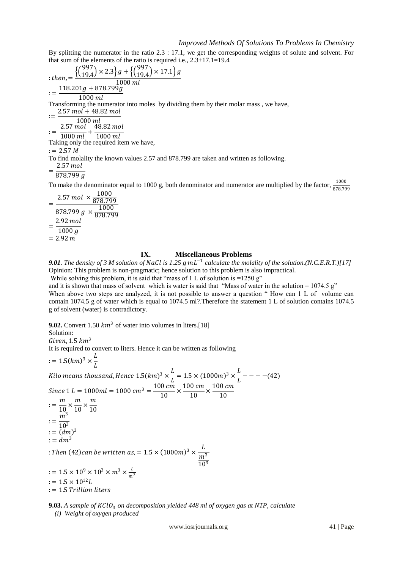By splitting the numerator in the ratio 2.3 : 17.1, we get the corresponding weights of solute and solvent. For that sum of the elements of the ratio is required i.e., 2.3+17.1=19.4

$$
: then, = \frac{\left\{ \left( \frac{997}{19.4} \right) \times 2.3 \right\} g + \left\{ \left( \frac{997}{19.4} \right) \times 17.1 \right\} g}{1000 \text{ ml}}
$$
  
\n
$$
:= \frac{118.201g + 878.799g}{1000 \text{ ml}}
$$
  
\nTransforming the numerator into moles by dividing them by their molar mass, we have,  
\n
$$
:= \frac{2.57 \text{ mol} + 48.82 \text{ mol}}{1000 \text{ ml}} + \frac{48.82 \text{ mol}}{1000 \text{ ml}}
$$
  
\nTaking only the required item we have,  
\n
$$
:= 2.57 \text{ M}
$$
  
\nTo find molality the known values 2.57 and 878.799 are taken and written as following.  
\n
$$
= \frac{2.57 \text{ mol}}{878.799 \text{ g}}
$$

To make the denominator equal to 1000 g, both denominator and numerator are multiplied by the factor,  $\frac{1000}{878.799}$ 

$$
= \frac{2.57 \text{ mol} \times \frac{1000}{878.799}}{878.799 \text{ g} \times \frac{1000}{878.799}} \\
 = \frac{2.92 \text{ mol}}{1000 \text{ g}} \\
 = 2.92 \text{ m}
$$

# **IX. Miscellaneous Problems**

**9.01**. The density of 3 M solution of NaCl is 1.25 g  $mL^{-1}$  calculate the molality of the solution.(N.C.E.R.T.)[17] Opinion: This problem is non-pragmatic; hence solution to this problem is also impractical.

While solving this problem, it is said that "mass of 1 L of solution is  $=1250$  g"

and it is shown that mass of solvent which is water is said that "Mass of water in the solution =  $1074.5$  g" When above two steps are analyzed, it is not possible to answer a question " How can 1 L of volume can contain 1074.5 g of water which is equal to 1074.5 ml?.Therefore the statement 1 L of solution contains 1074.5 g of solvent (water) is contradictory.

**9.02.** Convert 1.50  $km^3$  of water into volumes in liters. [18]

Solution:

Given,  $1.5 \ km<sup>3</sup>$ 

It is required to convert to liters. Hence it can be written as following

$$
:= 1.5(km)^3 \times \frac{L}{L}
$$

Kilo means thousand, Hence  $1.5 (km)^3 \times \frac{L}{I}$  $\frac{L}{L}$  = 1.5 × (1000*m*)<sup>3</sup> ×  $\frac{L}{L}$  $\frac{1}{L}$  – – – – (42) Since  $1 L = 1000ml = 1000 cm^3 = \frac{100 cm}{10}$  $\frac{10 \text{ cm}}{10}$   $\times \frac{100 \text{ cm}}{10}$  $\frac{10 \text{ cm}}{10}$   $\times \frac{100 \text{ cm}}{10}$ 10  $:=\frac{m}{16}$  $\frac{m}{10} \times \frac{m}{10}$  $\frac{m}{10} \times \frac{m}{10}$ 10  $:=\frac{m^3}{10^3}$ 10 3  $:= (dm)^3$  $:= dm<sup>3</sup>$ : Then (42)can be written as,  $= 1.5 \times (1000 m)^3 \times \frac{L}{m}$  $m<sup>3</sup>$ 

 $:= 1.5 \times 10^9 \times 10^3 \times m^3 \times \frac{L}{m}$  $m<sup>3</sup>$  $:= 1.5 \times 10^{12} L$ : = 1.5 Trillion liters

**9.03.** A sample of KClO<sub>3</sub> on decomposition yielded 448 ml of oxygen gas at NTP, calculate

*(i) Weight of oxygen produced*

www.iosrjournals.org 41 | Page

10<sup>3</sup>